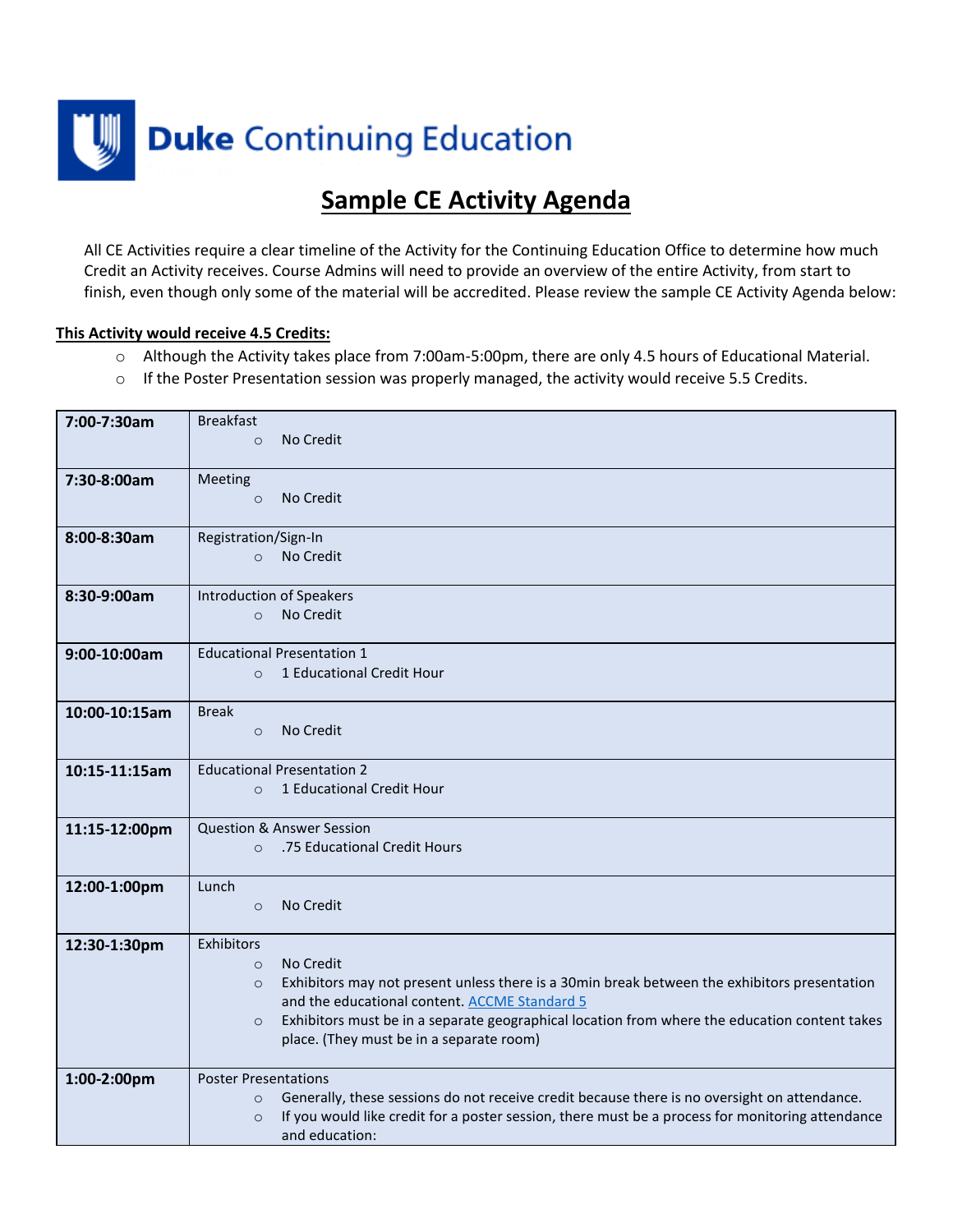

## **Sample CE Activity Agenda**

All CE Activities require a clear timeline of the Activity for the Continuing Education Office to determine how much Credit an Activity receives. Course Admins will need to provide an overview of the entire Activity, from start to finish, even though only some of the material will be accredited. Please review the sample CE Activity Agenda below:

## **This Activity would receive 4.5 Credits:**

- o Although the Activity takes place from 7:00am-5:00pm, there are only 4.5 hours of Educational Material.
- $\circ$  If the Poster Presentation session was properly managed, the activity would receive 5.5 Credits.

| 7:00-7:30am   | <b>Breakfast</b><br>No Credit<br>$\Omega$                                                                                                                                                                                                                                                                                                              |
|---------------|--------------------------------------------------------------------------------------------------------------------------------------------------------------------------------------------------------------------------------------------------------------------------------------------------------------------------------------------------------|
| 7:30-8:00am   | Meeting<br>No Credit<br>$\circ$                                                                                                                                                                                                                                                                                                                        |
| 8:00-8:30am   | Registration/Sign-In<br>No Credit<br>$\Omega$                                                                                                                                                                                                                                                                                                          |
| 8:30-9:00am   | <b>Introduction of Speakers</b><br>No Credit<br>$\circ$                                                                                                                                                                                                                                                                                                |
| 9:00-10:00am  | <b>Educational Presentation 1</b><br>1 Educational Credit Hour<br>$\circ$                                                                                                                                                                                                                                                                              |
| 10:00-10:15am | <b>Break</b><br>No Credit<br>$\circ$                                                                                                                                                                                                                                                                                                                   |
| 10:15-11:15am | <b>Educational Presentation 2</b><br>1 Educational Credit Hour<br>$\Omega$                                                                                                                                                                                                                                                                             |
| 11:15-12:00pm | <b>Question &amp; Answer Session</b><br>.75 Educational Credit Hours<br>$\Omega$                                                                                                                                                                                                                                                                       |
| 12:00-1:00pm  | Lunch<br>No Credit<br>$\circ$                                                                                                                                                                                                                                                                                                                          |
| 12:30-1:30pm  | Exhibitors<br>No Credit<br>$\circ$<br>Exhibitors may not present unless there is a 30min break between the exhibitors presentation<br>$\circ$<br>and the educational content. ACCME Standard 5<br>Exhibitors must be in a separate geographical location from where the education content takes<br>$\circ$<br>place. (They must be in a separate room) |
| 1:00-2:00pm   | <b>Poster Presentations</b><br>Generally, these sessions do not receive credit because there is no oversight on attendance.<br>$\circ$<br>If you would like credit for a poster session, there must be a process for monitoring attendance<br>$\circ$<br>and education:                                                                                |